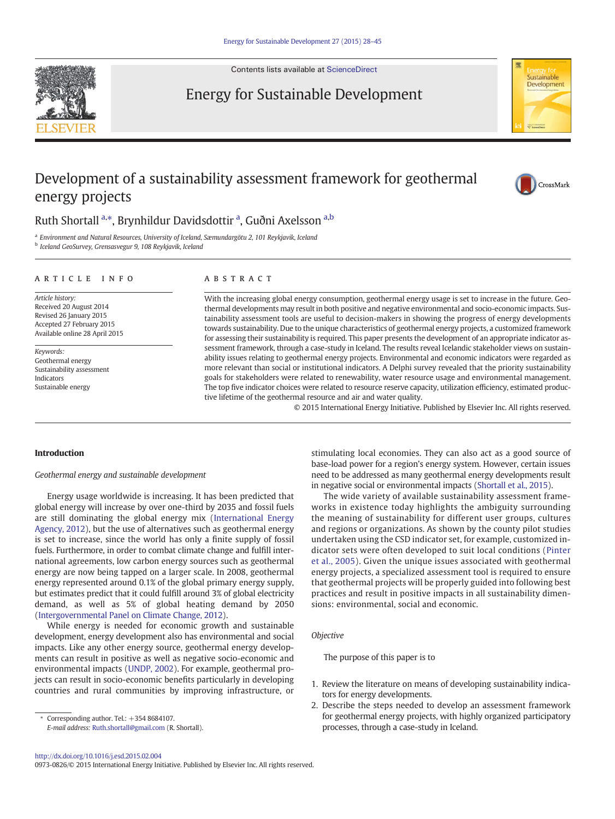Contents lists available at [ScienceDirect](http://www.sciencedirect.com/science/journal/00000000)

Energy for Sustainable Development



## Development of a sustainability assessment framework for geothermal energy projects



## Ruth Shortall <sup>a,\*</sup>, Brynhildur Davidsdottir <sup>a</sup>, Guðni Axelsson <sup>a,b</sup>

<sup>a</sup> Environment and Natural Resources, University of Iceland, Sæmundargötu 2, 101 Reykjavik, Iceland <sup>b</sup> Iceland GeoSurvey, Grensasvegur 9, 108 Reykjavik, Iceland

### article info abstract

Article history: Received 20 August 2014 Revised 26 January 2015 Accepted 27 February 2015 Available online 28 April 2015

Keywords: Geothermal energy Sustainability assessment Indicators Sustainable energy

With the increasing global energy consumption, geothermal energy usage is set to increase in the future. Geothermal developments may result in both positive and negative environmental and socio-economic impacts. Sustainability assessment tools are useful to decision-makers in showing the progress of energy developments towards sustainability. Due to the unique characteristics of geothermal energy projects, a customized framework for assessing their sustainability is required. This paper presents the development of an appropriate indicator assessment framework, through a case-study in Iceland. The results reveal Icelandic stakeholder views on sustainability issues relating to geothermal energy projects. Environmental and economic indicators were regarded as more relevant than social or institutional indicators. A Delphi survey revealed that the priority sustainability goals for stakeholders were related to renewability, water resource usage and environmental management. The top five indicator choices were related to resource reserve capacity, utilization efficiency, estimated productive lifetime of the geothermal resource and air and water quality.

© 2015 International Energy Initiative. Published by Elsevier Inc. All rights reserved.

#### Introduction

Geothermal energy and sustainable development

Energy usage worldwide is increasing. It has been predicted that global energy will increase by over one-third by 2035 and fossil fuels are still dominating the global energy mix [\(International Energy](#page--1-0) [Agency, 2012](#page--1-0)), but the use of alternatives such as geothermal energy is set to increase, since the world has only a finite supply of fossil fuels. Furthermore, in order to combat climate change and fulfill international agreements, low carbon energy sources such as geothermal energy are now being tapped on a larger scale. In 2008, geothermal energy represented around 0.1% of the global primary energy supply, but estimates predict that it could fulfill around 3% of global electricity demand, as well as 5% of global heating demand by 2050 [\(Intergovernmental Panel on Climate Change, 2012\)](#page--1-0).

While energy is needed for economic growth and sustainable development, energy development also has environmental and social impacts. Like any other energy source, geothermal energy developments can result in positive as well as negative socio-economic and environmental impacts [\(UNDP, 2002](#page--1-0)). For example, geothermal projects can result in socio-economic benefits particularly in developing countries and rural communities by improving infrastructure, or

Corresponding author. Tel.: +354 8684107.

E-mail address: [Ruth.shortall@gmail.com](mailto:Ruth.shortall@gmail.com) (R. Shortall).

stimulating local economies. They can also act as a good source of base-load power for a region's energy system. However, certain issues need to be addressed as many geothermal energy developments result in negative social or environmental impacts ([Shortall et al., 2015\)](#page--1-0).

The wide variety of available sustainability assessment frameworks in existence today highlights the ambiguity surrounding the meaning of sustainability for different user groups, cultures and regions or organizations. As shown by the county pilot studies undertaken using the CSD indicator set, for example, customized indicator sets were often developed to suit local conditions ([Pinter](#page--1-0) [et al., 2005](#page--1-0)). Given the unique issues associated with geothermal energy projects, a specialized assessment tool is required to ensure that geothermal projects will be properly guided into following best practices and result in positive impacts in all sustainability dimensions: environmental, social and economic.

#### **Objective**

The purpose of this paper is to

- 1. Review the literature on means of developing sustainability indicators for energy developments.
- 2. Describe the steps needed to develop an assessment framework for geothermal energy projects, with highly organized participatory processes, through a case-study in Iceland.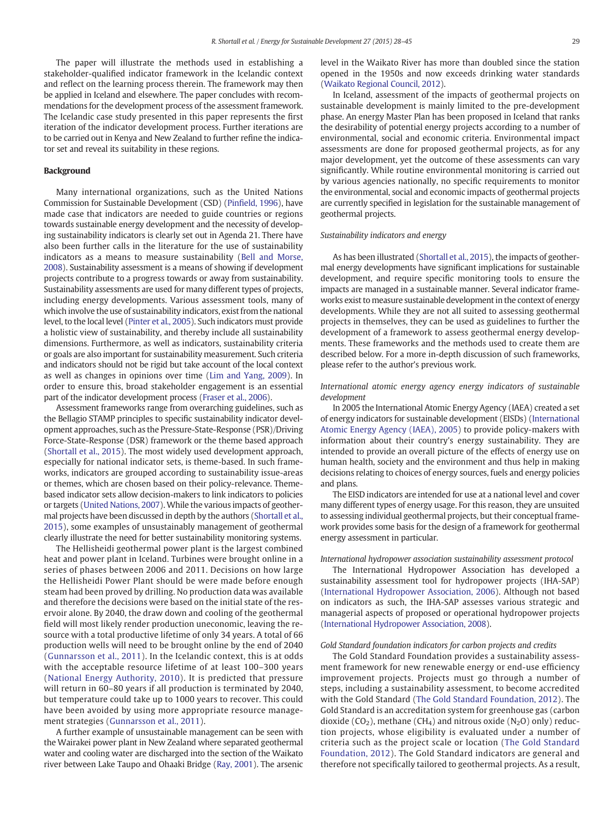The paper will illustrate the methods used in establishing a stakeholder-qualified indicator framework in the Icelandic context and reflect on the learning process therein. The framework may then be applied in Iceland and elsewhere. The paper concludes with recommendations for the development process of the assessment framework. The Icelandic case study presented in this paper represents the first iteration of the indicator development process. Further iterations are to be carried out in Kenya and New Zealand to further refine the indicator set and reveal its suitability in these regions.

#### Background

Many international organizations, such as the United Nations Commission for Sustainable Development (CSD) (Pinfi[eld, 1996](#page--1-0)), have made case that indicators are needed to guide countries or regions towards sustainable energy development and the necessity of developing sustainability indicators is clearly set out in Agenda 21. There have also been further calls in the literature for the use of sustainability indicators as a means to measure sustainability ([Bell and Morse,](#page--1-0) [2008](#page--1-0)). Sustainability assessment is a means of showing if development projects contribute to a progress towards or away from sustainability. Sustainability assessments are used for many different types of projects, including energy developments. Various assessment tools, many of which involve the use of sustainability indicators, exist from the national level, to the local level [\(Pinter et al., 2005\)](#page--1-0). Such indicators must provide a holistic view of sustainability, and thereby include all sustainability dimensions. Furthermore, as well as indicators, sustainability criteria or goals are also important for sustainability measurement. Such criteria and indicators should not be rigid but take account of the local context as well as changes in opinions over time ([Lim and Yang, 2009\)](#page--1-0). In order to ensure this, broad stakeholder engagement is an essential part of the indicator development process [\(Fraser et al., 2006](#page--1-0)).

Assessment frameworks range from overarching guidelines, such as the Bellagio STAMP principles to specific sustainability indicator development approaches, such as the Pressure-State-Response (PSR)/Driving Force-State-Response (DSR) framework or the theme based approach [\(Shortall et al., 2015\)](#page--1-0). The most widely used development approach, especially for national indicator sets, is theme-based. In such frameworks, indicators are grouped according to sustainability issue-areas or themes, which are chosen based on their policy-relevance. Themebased indicator sets allow decision-makers to link indicators to policies or targets [\(United Nations, 2007\)](#page--1-0). While the various impacts of geothermal projects have been discussed in depth by the authors [\(Shortall et al.,](#page--1-0) [2015\)](#page--1-0), some examples of unsustainably management of geothermal clearly illustrate the need for better sustainability monitoring systems.

The Hellisheidi geothermal power plant is the largest combined heat and power plant in Iceland. Turbines were brought online in a series of phases between 2006 and 2011. Decisions on how large the Hellisheidi Power Plant should be were made before enough steam had been proved by drilling. No production data was available and therefore the decisions were based on the initial state of the reservoir alone. By 2040, the draw down and cooling of the geothermal field will most likely render production uneconomic, leaving the resource with a total productive lifetime of only 34 years. A total of 66 production wells will need to be brought online by the end of 2040 [\(Gunnarsson et al., 2011\)](#page--1-0). In the Icelandic context, this is at odds with the acceptable resource lifetime of at least 100–300 years [\(National Energy Authority, 2010](#page--1-0)). It is predicted that pressure will return in 60–80 years if all production is terminated by 2040, but temperature could take up to 1000 years to recover. This could have been avoided by using more appropriate resource management strategies [\(Gunnarsson et al., 2011\)](#page--1-0).

A further example of unsustainable management can be seen with the Wairakei power plant in New Zealand where separated geothermal water and cooling water are discharged into the section of the Waikato river between Lake Taupo and Ohaaki Bridge ([Ray, 2001](#page--1-0)). The arsenic level in the Waikato River has more than doubled since the station opened in the 1950s and now exceeds drinking water standards [\(Waikato Regional Council, 2012\)](#page--1-0).

In Iceland, assessment of the impacts of geothermal projects on sustainable development is mainly limited to the pre-development phase. An energy Master Plan has been proposed in Iceland that ranks the desirability of potential energy projects according to a number of environmental, social and economic criteria. Environmental impact assessments are done for proposed geothermal projects, as for any major development, yet the outcome of these assessments can vary significantly. While routine environmental monitoring is carried out by various agencies nationally, no specific requirements to monitor the environmental, social and economic impacts of geothermal projects are currently specified in legislation for the sustainable management of geothermal projects.

#### Sustainability indicators and energy

As has been illustrated [\(Shortall et al., 2015](#page--1-0)), the impacts of geothermal energy developments have significant implications for sustainable development, and require specific monitoring tools to ensure the impacts are managed in a sustainable manner. Several indicator frameworks exist to measure sustainable development in the context of energy developments. While they are not all suited to assessing geothermal projects in themselves, they can be used as guidelines to further the development of a framework to assess geothermal energy developments. These frameworks and the methods used to create them are described below. For a more in-depth discussion of such frameworks, please refer to the author's previous work.

### International atomic energy agency energy indicators of sustainable development

In 2005 the International Atomic Energy Agency (IAEA) created a set of energy indicators for sustainable development (EISDs) ([International](#page--1-0) [Atomic Energy Agency \(IAEA\), 2005\)](#page--1-0) to provide policy-makers with information about their country's energy sustainability. They are intended to provide an overall picture of the effects of energy use on human health, society and the environment and thus help in making decisions relating to choices of energy sources, fuels and energy policies and plans.

The EISD indicators are intended for use at a national level and cover many different types of energy usage. For this reason, they are unsuited to assessing individual geothermal projects, but their conceptual framework provides some basis for the design of a framework for geothermal energy assessment in particular.

#### International hydropower association sustainability assessment protocol

The International Hydropower Association has developed a sustainability assessment tool for hydropower projects (IHA-SAP) [\(International Hydropower Association, 2006\)](#page--1-0). Although not based on indicators as such, the IHA-SAP assesses various strategic and managerial aspects of proposed or operational hydropower projects [\(International Hydropower Association, 2008\)](#page--1-0).

#### Gold Standard foundation indicators for carbon projects and credits

The Gold Standard Foundation provides a sustainability assessment framework for new renewable energy or end-use efficiency improvement projects. Projects must go through a number of steps, including a sustainability assessment, to become accredited with the Gold Standard ([The Gold Standard Foundation, 2012](#page--1-0)). The Gold Standard is an accreditation system for greenhouse gas (carbon dioxide ( $CO<sub>2</sub>$ ), methane ( $CH<sub>4</sub>$ ) and nitrous oxide ( $N<sub>2</sub>O$ ) only) reduction projects, whose eligibility is evaluated under a number of criteria such as the project scale or location ([The Gold Standard](#page--1-0) [Foundation, 2012](#page--1-0)). The Gold Standard indicators are general and therefore not specifically tailored to geothermal projects. As a result,